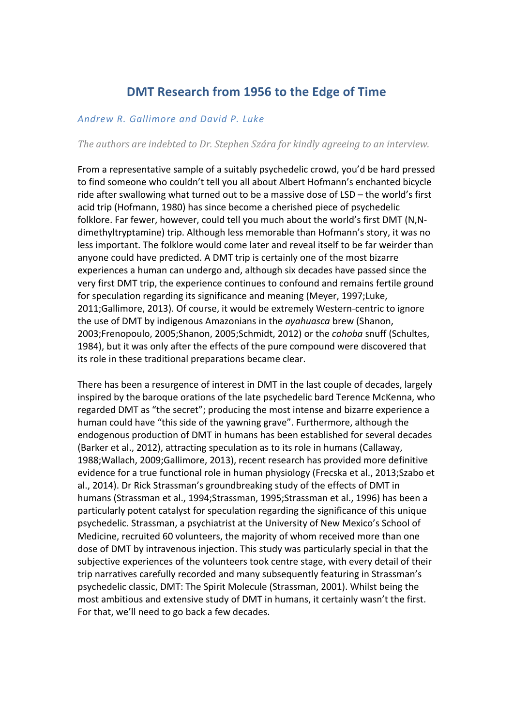# **DMT Research from 1956 to the Edge of Time**

# *Andrew R. Gallimore and David P. Luke*

*The authors are indebted to Dr. Stephen Szára for kindly agreeing to an interview.* 

From a representative sample of a suitably psychedelic crowd, you'd be hard pressed to find someone who couldn't tell you all about Albert Hofmann's enchanted bicycle ride after swallowing what turned out to be a massive dose of LSD – the world's first acid trip (Hofmann, 1980) has since become a cherished piece of psychedelic folklore. Far fewer, however, could tell you much about the world's first DMT (N,Ndimethyltryptamine) trip. Although less memorable than Hofmann's story, it was no less important. The folklore would come later and reveal itself to be far weirder than anyone could have predicted. A DMT trip is certainly one of the most bizarre experiences a human can undergo and, although six decades have passed since the very first DMT trip, the experience continues to confound and remains fertile ground for speculation regarding its significance and meaning (Meyer, 1997;Luke, 2011;Gallimore, 2013). Of course, it would be extremely Western-centric to ignore the use of DMT by indigenous Amazonians in the *ayahuasca* brew (Shanon, 2003;Frenopoulo, 2005;Shanon, 2005;Schmidt, 2012) or the *cohoba* snuff (Schultes, 1984), but it was only after the effects of the pure compound were discovered that its role in these traditional preparations became clear.

There has been a resurgence of interest in DMT in the last couple of decades, largely inspired by the baroque orations of the late psychedelic bard Terence McKenna, who regarded DMT as "the secret"; producing the most intense and bizarre experience a human could have "this side of the yawning grave". Furthermore, although the endogenous production of DMT in humans has been established for several decades (Barker et al., 2012), attracting speculation as to its role in humans (Callaway, 1988; Wallach, 2009; Gallimore, 2013), recent research has provided more definitive evidence for a true functional role in human physiology (Frecska et al., 2013;Szabo et al., 2014). Dr Rick Strassman's groundbreaking study of the effects of DMT in humans (Strassman et al., 1994;Strassman, 1995;Strassman et al., 1996) has been a particularly potent catalyst for speculation regarding the significance of this unique psychedelic. Strassman, a psychiatrist at the University of New Mexico's School of Medicine, recruited 60 volunteers, the majority of whom received more than one dose of DMT by intravenous injection. This study was particularly special in that the subiective experiences of the volunteers took centre stage, with every detail of their trip narratives carefully recorded and many subsequently featuring in Strassman's psychedelic classic, DMT: The Spirit Molecule (Strassman, 2001). Whilst being the most ambitious and extensive study of DMT in humans, it certainly wasn't the first. For that, we'll need to go back a few decades.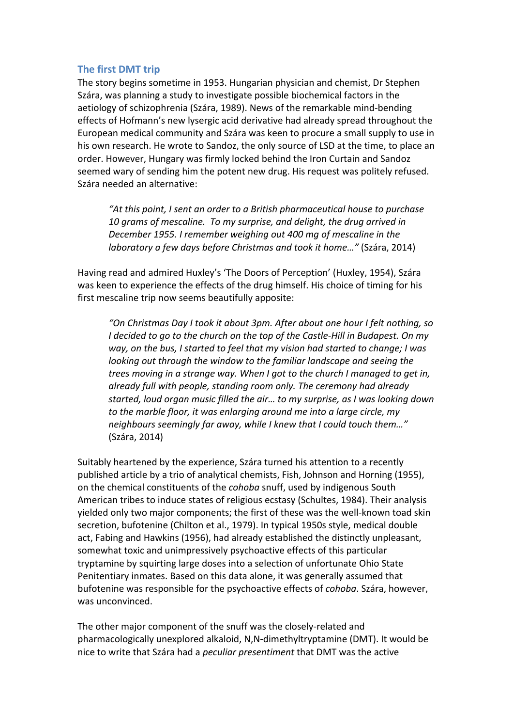# **The first DMT trip**

The story begins sometime in 1953. Hungarian physician and chemist, Dr Stephen Szára, was planning a study to investigate possible biochemical factors in the aetiology of schizophrenia (Szára, 1989). News of the remarkable mind-bending effects of Hofmann's new lysergic acid derivative had already spread throughout the European medical community and Szára was keen to procure a small supply to use in his own research. He wrote to Sandoz, the only source of LSD at the time, to place an order. However, Hungary was firmly locked behind the Iron Curtain and Sandoz seemed wary of sending him the potent new drug. His request was politely refused. Szára needed an alternative:

"At this point, I sent an order to a British pharmaceutical house to purchase 10 grams of mescaline. To my surprise, and delight, the drug arrived in *December 1955. I remember weighing out 400 mg of mescaline in the laboratory* a few days before Christmas and took it home..." (Szára, 2014)

Having read and admired Huxley's 'The Doors of Perception' (Huxley, 1954), Szára was keen to experience the effects of the drug himself. His choice of timing for his first mescaline trip now seems beautifully apposite:

*"On Christmas Day I took it about 3pm. After about one hour I felt nothing, so I* decided to go to the church on the top of the Castle-Hill in Budapest. On my *way, on the bus, I started to feel that my vision had started to change; I was looking* out through the window to the familiar landscape and seeing the *trees moving in a strange way.* When I got to the church I managed to get in, already full with people, standing room only. The ceremony had already started, loud organ music filled the air... to my surprise, as I was looking down *to* the marble floor, it was enlarging around me into a large circle, my *neighbours seemingly far away, while I knew that I could touch them..."* (Szára, 2014)

Suitably heartened by the experience, Szára turned his attention to a recently published article by a trio of analytical chemists, Fish, Johnson and Horning (1955), on the chemical constituents of the *cohoba* snuff, used by indigenous South American tribes to induce states of religious ecstasy (Schultes, 1984). Their analysis yielded only two major components; the first of these was the well-known toad skin secretion, bufotenine (Chilton et al., 1979). In typical 1950s style, medical double act, Fabing and Hawkins (1956), had already established the distinctly unpleasant, somewhat toxic and unimpressively psychoactive effects of this particular tryptamine by squirting large doses into a selection of unfortunate Ohio State Penitentiary inmates. Based on this data alone, it was generally assumed that bufotenine was responsible for the psychoactive effects of *cohoba*. Szára, however, was unconvinced.

The other major component of the snuff was the closely-related and pharmacologically unexplored alkaloid, N,N-dimethyltryptamine (DMT). It would be nice to write that Szára had a *peculiar presentiment* that DMT was the active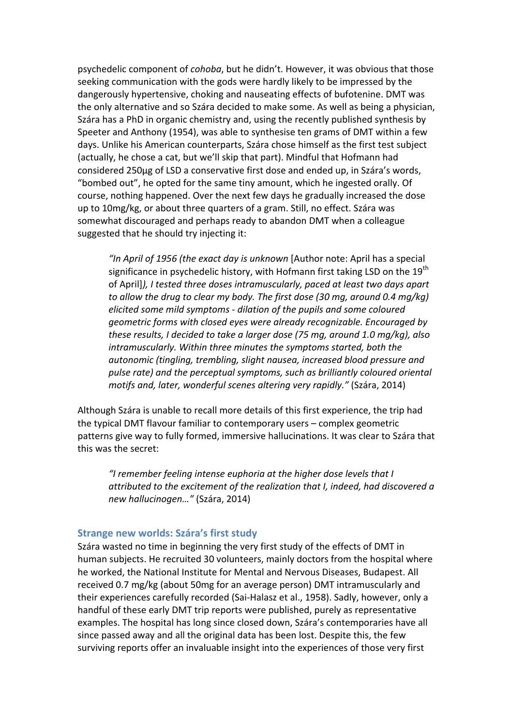psychedelic component of *cohoba*, but he didn't. However, it was obvious that those seeking communication with the gods were hardly likely to be impressed by the dangerously hypertensive, choking and nauseating effects of bufotenine. DMT was the only alternative and so Szára decided to make some. As well as being a physician, Szára has a PhD in organic chemistry and, using the recently published synthesis by Speeter and Anthony (1954), was able to synthesise ten grams of DMT within a few days. Unlike his American counterparts, Szára chose himself as the first test subject (actually, he chose a cat, but we'll skip that part). Mindful that Hofmann had considered 250μg of LSD a conservative first dose and ended up, in Szára's words, "bombed out", he opted for the same tiny amount, which he ingested orally. Of course, nothing happened. Over the next few days he gradually increased the dose up to 10mg/kg, or about three quarters of a gram. Still, no effect. Szára was somewhat discouraged and perhaps ready to abandon DMT when a colleague suggested that he should try injecting it:

"In April of 1956 (the exact day is unknown [Author note: April has a special significance in psychedelic history, with Hofmann first taking LSD on the 19<sup>th</sup> of April]), I tested three doses intramuscularly, paced at least two days apart *to* allow the drug to clear my body. The first dose (30 mg, around 0.4 mg/kg) *elicited some mild symptoms - dilation of the pupils and some coloured geometric forms with closed eyes were already recognizable. Encouraged by these results, I decided to take a larger dose (75 mg, around 1.0 mg/kg), also* intramuscularly. Within three minutes the symptoms started, both the *autonomic* (tingling, trembling, slight nausea, increased blood pressure and pulse rate) and the perceptual symptoms, such as brilliantly coloured oriental *motifs and, later, wonderful scenes altering very rapidly."* (Szára, 2014)

Although Szára is unable to recall more details of this first experience, the trip had the typical DMT flavour familiar to contemporary users – complex geometric patterns give way to fully formed, immersive hallucinations. It was clear to Szára that this was the secret:

"I remember feeling intense euphoria at the higher dose levels that I attributed to the excitement of the realization that *I*, indeed, had discovered a *new hallucinogen…"* (Szára, 2014)

#### **Strange new worlds: Szára's first study**

Szára wasted no time in beginning the very first study of the effects of DMT in human subjects. He recruited 30 volunteers, mainly doctors from the hospital where he worked, the National Institute for Mental and Nervous Diseases, Budapest. All received 0.7 mg/kg (about 50mg for an average person) DMT intramuscularly and their experiences carefully recorded (Sai-Halasz et al., 1958). Sadly, however, only a handful of these early DMT trip reports were published, purely as representative examples. The hospital has long since closed down, Szára's contemporaries have all since passed away and all the original data has been lost. Despite this, the few surviving reports offer an invaluable insight into the experiences of those very first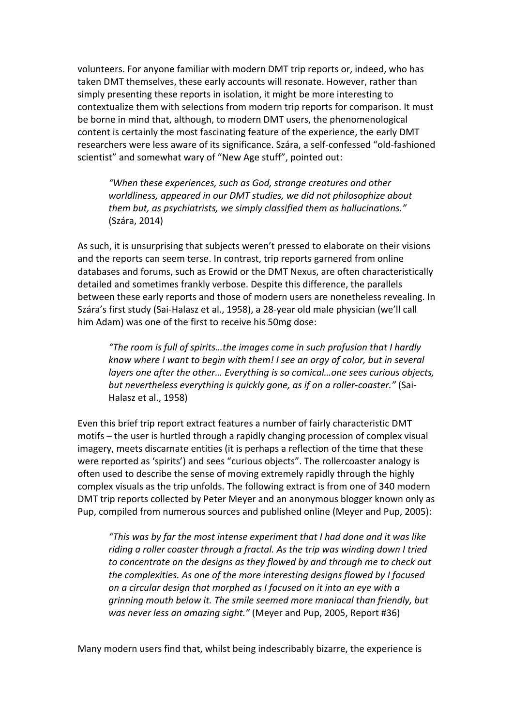volunteers. For anyone familiar with modern DMT trip reports or, indeed, who has taken DMT themselves, these early accounts will resonate. However, rather than simply presenting these reports in isolation, it might be more interesting to contextualize them with selections from modern trip reports for comparison. It must be borne in mind that, although, to modern DMT users, the phenomenological content is certainly the most fascinating feature of the experience, the early DMT researchers were less aware of its significance. Szára, a self-confessed "old-fashioned scientist" and somewhat wary of "New Age stuff", pointed out:

"When these experiences, such as God, strange creatures and other worldliness, appeared in our DMT studies, we did not philosophize about *them but, as psychiatrists, we simply classified them as hallucinations."* (Szára, 2014)

As such, it is unsurprising that subjects weren't pressed to elaborate on their visions and the reports can seem terse. In contrast, trip reports garnered from online databases and forums, such as Erowid or the DMT Nexus, are often characteristically detailed and sometimes frankly verbose. Despite this difference, the parallels between these early reports and those of modern users are nonetheless revealing. In Szára's first study (Sai-Halasz et al., 1958), a 28-year old male physician (we'll call him Adam) was one of the first to receive his 50mg dose:

"The room is full of spirits...the images come in such profusion that I hardly *know* where *I* want to begin with them! I see an orgy of color, but in several *layers* one after the other... Everything is so comical...one sees curious objects, *but nevertheless everything is quickly gone, as if on a roller-coaster."* (Sai-Halasz et al., 1958)

Even this brief trip report extract features a number of fairly characteristic DMT motifs  $-$  the user is hurtled through a rapidly changing procession of complex visual imagery, meets discarnate entities (it is perhaps a reflection of the time that these were reported as 'spirits') and sees "curious objects". The rollercoaster analogy is often used to describe the sense of moving extremely rapidly through the highly complex visuals as the trip unfolds. The following extract is from one of 340 modern DMT trip reports collected by Peter Meyer and an anonymous blogger known only as Pup, compiled from numerous sources and published online (Meyer and Pup, 2005):

*"This* was by far the most intense experiment that I had done and it was like riding a roller coaster through a fractal. As the trip was winding down I tried *to* concentrate on the designs as they flowed by and through me to check out *the complexities. As one of the more interesting designs flowed by I focused on a circular design that morphed as I focused on it into an eye with a grinning mouth below it. The smile seemed more maniacal than friendly, but was never less an amazing sight."* (Meyer and Pup, 2005, Report #36)

Many modern users find that, whilst being indescribably bizarre, the experience is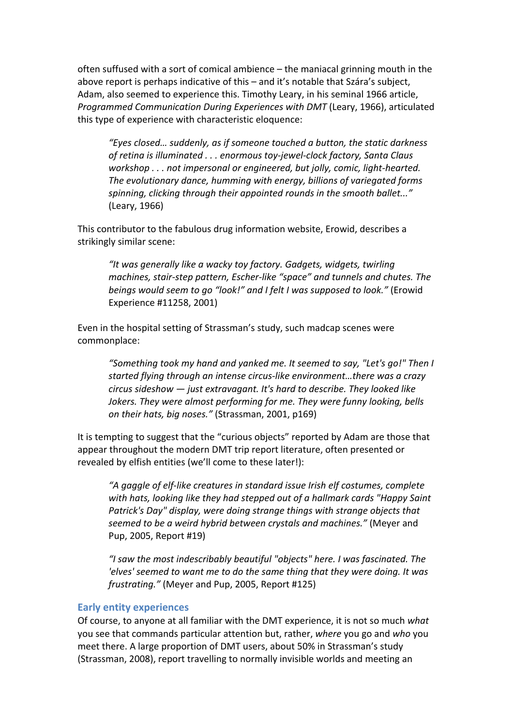often suffused with a sort of comical ambience  $-$  the maniacal grinning mouth in the above report is perhaps indicative of this  $-$  and it's notable that Szára's subject, Adam, also seemed to experience this. Timothy Leary, in his seminal 1966 article, *Programmed Communication During Experiences with DMT* (Leary, 1966), articulated this type of experience with characteristic eloquence:

"Eyes closed... suddenly, as if someone touched a button, the static darkness of retina is illuminated . . . enormous toy-jewel-clock factory, Santa Claus *workshop* . . . not impersonal or engineered, but jolly, comic, light-hearted. The evolutionary dance, humming with energy, billions of variegated forms spinning, clicking through their appointed rounds in the smooth ballet..." (Leary, 1966)

This contributor to the fabulous drug information website, Erowid, describes a strikingly similar scene:

"It was generally like a wacky toy factory. Gadgets, widgets, twirling *machines, stair-step pattern, Escher-like "space" and tunnels and chutes. The beings* would seem to go "look!" and I felt I was supposed to look." (Erowid Experience #11258, 2001)

Even in the hospital setting of Strassman's study, such madcap scenes were commonplace:

"Something took my hand and yanked me. It seemed to say, "Let's go!" Then I *started flying through an intense circus-like environment...there was a crazy circus sideshow*  $-$  *just extravagant.* It's hard to describe. They looked like *Jokers.* They were almost performing for me. They were funny looking, bells *on their hats, big noses."* (Strassman, 2001, p169)

It is tempting to suggest that the "curious objects" reported by Adam are those that appear throughout the modern DMT trip report literature, often presented or revealed by elfish entities (we'll come to these later!):

"A gaggle of elf-like creatures in standard issue Irish elf costumes, complete with hats, looking like they had stepped out of a hallmark cards "Happy Saint *Patrick's Day"* display, were doing strange things with strange objects that *seemed to be a weird hybrid between crystals and machines."* (Meyer and Pup, 2005, Report #19)

"I saw the most indescribably beautiful "objects" here. I was fascinated. The *'elves'* seemed to want me to do the same thing that they were doing. It was *frustrating."* (Meyer and Pup, 2005, Report #125)

#### **Early entity experiences**

Of course, to anyone at all familiar with the DMT experience, it is not so much what you see that commands particular attention but, rather, *where* you go and who you meet there. A large proportion of DMT users, about 50% in Strassman's study (Strassman, 2008), report travelling to normally invisible worlds and meeting an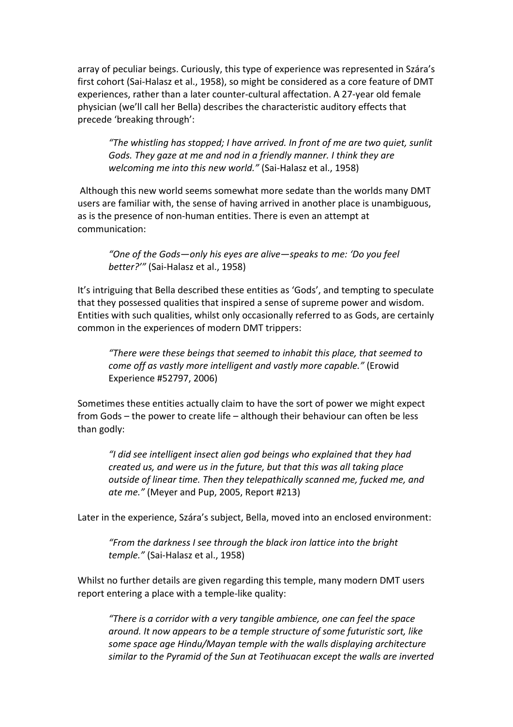array of peculiar beings. Curiously, this type of experience was represented in Szára's first cohort (Sai-Halasz et al., 1958), so might be considered as a core feature of DMT experiences, rather than a later counter-cultural affectation. A 27-year old female physician (we'll call her Bella) describes the characteristic auditory effects that precede 'breaking through':

*"The whistling has stopped; I have arrived. In front of me are two quiet, sunlit* Gods. They gaze at me and nod in a friendly manner. I think they are *welcoming me into this new world."* (Sai-Halasz et al., 1958)

Although this new world seems somewhat more sedate than the worlds many DMT users are familiar with, the sense of having arrived in another place is unambiguous, as is the presence of non-human entities. There is even an attempt at communication:

"One of the Gods—only his eyes are alive—speaks to me: 'Do you feel *better?'"* (Sai-Halasz et al., 1958)

It's intriguing that Bella described these entities as 'Gods', and tempting to speculate that they possessed qualities that inspired a sense of supreme power and wisdom. Entities with such qualities, whilst only occasionally referred to as Gods, are certainly common in the experiences of modern DMT trippers:

*"There were these beings that seemed to inhabit this place, that seemed to come off as vastly more intelligent and vastly more capable."* (Erowid Experience #52797, 2006)

Sometimes these entities actually claim to have the sort of power we might expect from Gods  $-$  the power to create life  $-$  although their behaviour can often be less than godly:

"I did see intelligent insect alien god beings who explained that they had *created us, and were us in the future, but that this was all taking place* outside of linear time. Then they telepathically scanned me, fucked me, and *ate me."* (Meyer and Pup, 2005, Report #213)

Later in the experience, Szára's subject, Bella, moved into an enclosed environment:

"From the darkness I see through the black iron lattice into the bright *temple.*" (Sai-Halasz et al., 1958)

Whilst no further details are given regarding this temple, many modern DMT users report entering a place with a temple-like quality:

"There is a corridor with a very tangible ambience, one can feel the space *around.* It now appears to be a temple structure of some futuristic sort, like some space age Hindu/Mayan temple with the walls displaying architecture similar to the Pyramid of the Sun at Teotihuacan except the walls are inverted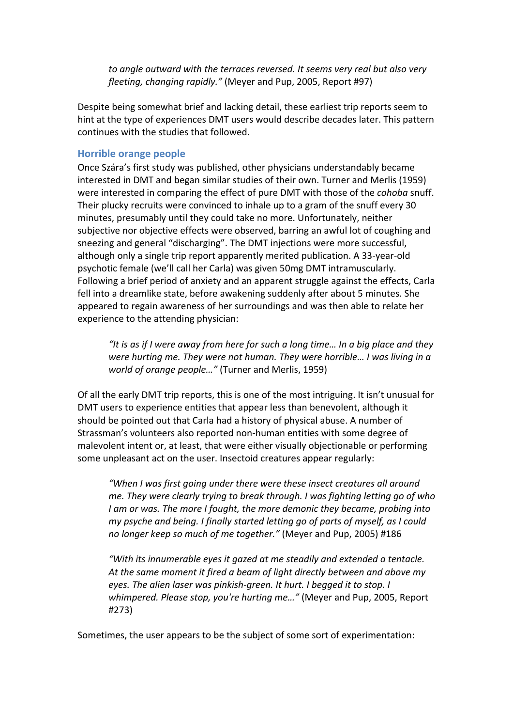*to* angle outward with the terraces reversed. It seems very real but also very *fleeting, changing rapidly."* (Meyer and Pup, 2005, Report #97)

Despite being somewhat brief and lacking detail, these earliest trip reports seem to hint at the type of experiences DMT users would describe decades later. This pattern continues with the studies that followed.

#### **Horrible orange people**

Once Szára's first study was published, other physicians understandably became interested in DMT and began similar studies of their own. Turner and Merlis (1959) were interested in comparing the effect of pure DMT with those of the *cohoba* snuff. Their plucky recruits were convinced to inhale up to a gram of the snuff every 30 minutes, presumably until they could take no more. Unfortunately, neither subjective nor objective effects were observed, barring an awful lot of coughing and sneezing and general "discharging". The DMT injections were more successful, although only a single trip report apparently merited publication. A 33-year-old psychotic female (we'll call her Carla) was given 50mg DMT intramuscularly. Following a brief period of anxiety and an apparent struggle against the effects, Carla fell into a dreamlike state, before awakening suddenly after about 5 minutes. She appeared to regain awareness of her surroundings and was then able to relate her experience to the attending physician:

"It is as if I were away from here for such a long time... In a big place and they were hurting me. They were not human. They were horrible... I was living in a *world of orange people...*" (Turner and Merlis, 1959)

Of all the early DMT trip reports, this is one of the most intriguing. It isn't unusual for DMT users to experience entities that appear less than benevolent, although it should be pointed out that Carla had a history of physical abuse. A number of Strassman's volunteers also reported non-human entities with some degree of malevolent intent or, at least, that were either visually objectionable or performing some unpleasant act on the user. Insectoid creatures appear regularly:

"When I was first going under there were these insect creatures all around *me.* They were clearly trying to break through. I was fighting letting go of who *I* am or was. The more *I* fought, the more demonic they became, probing into *my* psyche and being. I finally started letting go of parts of myself, as I could *no longer keep so much of me together."* (Meyer and Pup, 2005) #186

"With its innumerable eyes it gazed at me steadily and extended a tentacle. At the same moment it fired a beam of light directly between and above my eyes. The alien laser was pinkish-green. It hurt. I begged it to stop. I whimpered. Please stop, you're hurting me..." (Meyer and Pup, 2005, Report #273)

Sometimes, the user appears to be the subject of some sort of experimentation: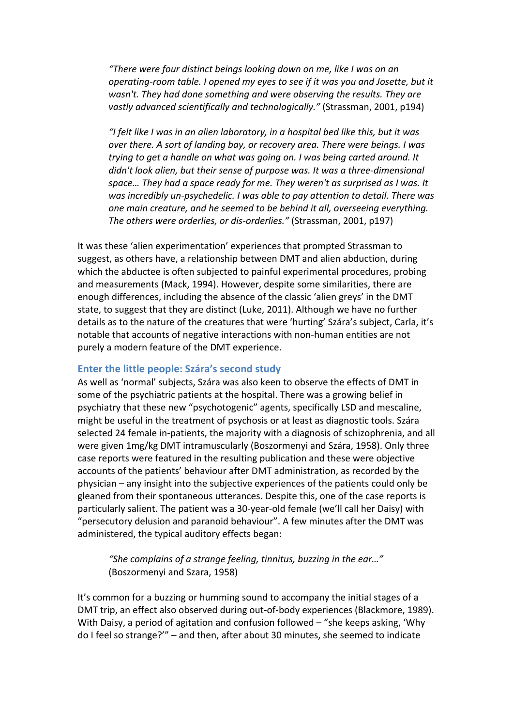*"There were four distinct beings looking down on me, like I was on an operating-room table. I opened my eyes to see if it was you and Josette, but it* wasn't. They had done something and were observing the results. They are vastly advanced scientifically and technologically." (Strassman, 2001, p194)

*"I felt like I was in an alien laboratory, in a hospital bed like this, but it was over there.* A sort of landing bay, or recovery area. There were beings. I was *trying to get a handle on what was going on. I was being carted around. It didn't look alien, but their sense of purpose was. It was a three-dimensional* space... They had a space ready for me. They weren't as surprised as I was. It was incredibly un-psychedelic. I was able to pay attention to detail. There was *one main creature, and he seemed to be behind it all, overseeing everything.* The others were orderlies, or dis-orderlies." (Strassman, 2001, p197)

It was these 'alien experimentation' experiences that prompted Strassman to suggest, as others have, a relationship between DMT and alien abduction, during which the abductee is often subjected to painful experimental procedures, probing and measurements (Mack, 1994). However, despite some similarities, there are enough differences, including the absence of the classic 'alien greys' in the DMT state, to suggest that they are distinct (Luke, 2011). Although we have no further details as to the nature of the creatures that were 'hurting' Szára's subject, Carla, it's notable that accounts of negative interactions with non-human entities are not purely a modern feature of the DMT experience.

# **Enter the little people: Szára's second study**

As well as 'normal' subjects, Szára was also keen to observe the effects of DMT in some of the psychiatric patients at the hospital. There was a growing belief in psychiatry that these new "psychotogenic" agents, specifically LSD and mescaline, might be useful in the treatment of psychosis or at least as diagnostic tools. Szára selected 24 female in-patients, the majority with a diagnosis of schizophrenia, and all were given 1mg/kg DMT intramuscularly (Boszormenyi and Szára, 1958). Only three case reports were featured in the resulting publication and these were objective accounts of the patients' behaviour after DMT administration, as recorded by the physician – any insight into the subjective experiences of the patients could only be gleaned from their spontaneous utterances. Despite this, one of the case reports is particularly salient. The patient was a 30-year-old female (we'll call her Daisy) with "persecutory delusion and paranoid behaviour". A few minutes after the DMT was administered, the typical auditory effects began:

"She complains of a strange feeling, tinnitus, buzzing in the ear..." (Boszormenyi and Szara, 1958)

It's common for a buzzing or humming sound to accompany the initial stages of a DMT trip, an effect also observed during out-of-body experiences (Blackmore, 1989). With Daisy, a period of agitation and confusion followed  $-$  "she keeps asking, 'Why do I feel so strange?"" - and then, after about 30 minutes, she seemed to indicate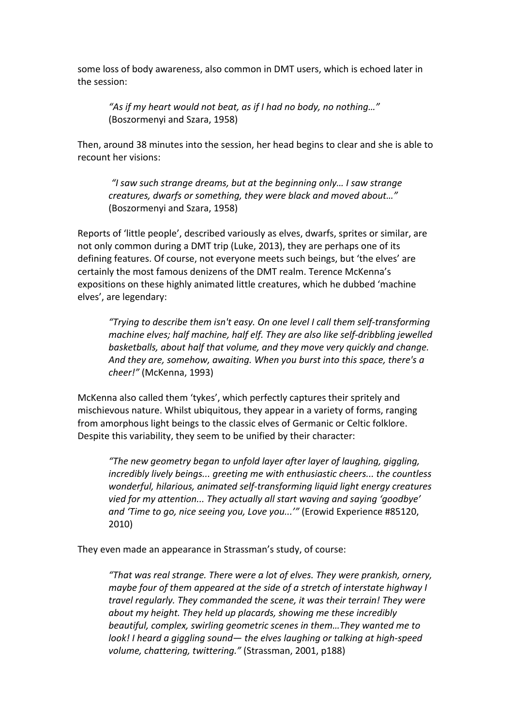some loss of body awareness, also common in DMT users, which is echoed later in the session:

"As if my heart would not beat, as if I had no body, no nothing..." (Boszormenyi and Szara, 1958)

Then, around 38 minutes into the session, her head begins to clear and she is able to recount her visions:

*"I saw such strange dreams, but at the beginning only… I saw strange creatures, dwarfs or something, they were black and moved about..."* (Boszormenyi and Szara, 1958)

Reports of 'little people', described variously as elves, dwarfs, sprites or similar, are not only common during a DMT trip (Luke, 2013), they are perhaps one of its defining features. Of course, not everyone meets such beings, but 'the elves' are certainly the most famous denizens of the DMT realm. Terence McKenna's expositions on these highly animated little creatures, which he dubbed 'machine elves', are legendary:

*"Trying to describe them isn't easy. On one level I call them self-transforming machine elves; half machine, half elf. They are also like self-dribbling jewelled basketballs, about half that volume, and they move very quickly and change.* And they are, somehow, awaiting. When you burst into this space, there's a *cheer!"* (McKenna, 1993)

McKenna also called them 'tykes', which perfectly captures their spritely and mischievous nature. Whilst ubiquitous, they appear in a variety of forms, ranging from amorphous light beings to the classic elves of Germanic or Celtic folklore. Despite this variability, they seem to be unified by their character:

*"The new geometry began to unfold layer after layer of laughing, giggling, incredibly lively beings...* greeting me with enthusiastic cheers... the countless *wonderful, hilarious, animated self-transforming liquid light energy creatures* vied for my attention... They actually all start waving and saying 'goodbye' and 'Time to go, nice seeing you, Love you...'" (Erowid Experience #85120, 2010)

They even made an appearance in Strassman's study, of course:

"That was real strange. There were a lot of elves. They were prankish, ornery, *maybe four of them appeared at the side of a stretch of interstate highway I travel regularly.* They commanded the scene, it was their terrain! They were *about* my height. They held up placards, showing me these incredibly *beautiful, complex, swirling geometric scenes in them...They wanted me to look!* I heard a giggling sound— the elves laughing or talking at high-speed volume, chattering, twittering." (Strassman, 2001, p188)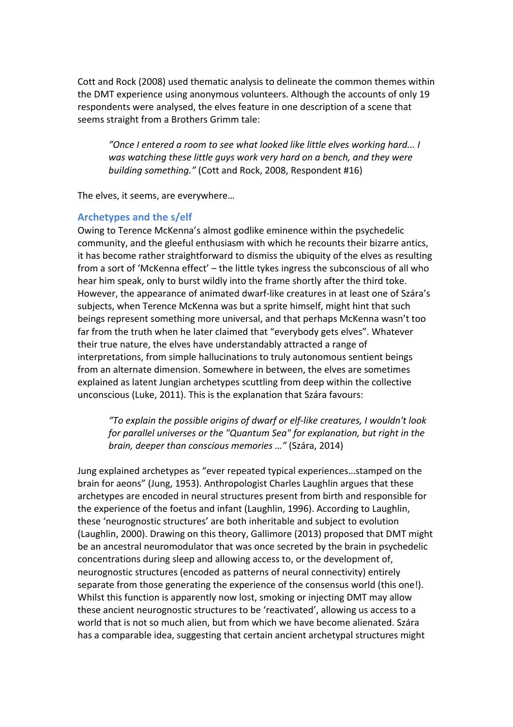Cott and Rock (2008) used thematic analysis to delineate the common themes within the DMT experience using anonymous volunteers. Although the accounts of only 19 respondents were analysed, the elves feature in one description of a scene that seems straight from a Brothers Grimm tale:

"Once I entered a room to see what looked like little elves working hard... I was watching these little guys work very hard on a bench, and they were *building something."* (Cott and Rock, 2008, Respondent #16)

The elves, it seems, are everywhere...

# Archetypes and the s/elf

Owing to Terence McKenna's almost godlike eminence within the psychedelic community, and the gleeful enthusiasm with which he recounts their bizarre antics, it has become rather straightforward to dismiss the ubiquity of the elves as resulting from a sort of 'McKenna effect' – the little tykes ingress the subconscious of all who hear him speak, only to burst wildly into the frame shortly after the third toke. However, the appearance of animated dwarf-like creatures in at least one of Szára's subjects, when Terence McKenna was but a sprite himself, might hint that such beings represent something more universal, and that perhaps McKenna wasn't too far from the truth when he later claimed that "everybody gets elves". Whatever their true nature, the elves have understandably attracted a range of interpretations, from simple hallucinations to truly autonomous sentient beings from an alternate dimension. Somewhere in between, the elves are sometimes explained as latent Jungian archetypes scuttling from deep within the collective unconscious (Luke, 2011). This is the explanation that Szára favours:

"To explain the possible origins of dwarf or elf-like creatures, I wouldn't look *for parallel universes or the "Quantum Sea" for explanation, but right in the brain, deeper than conscious memories ..."* (Szára, 2014)

Jung explained archetypes as "ever repeated typical experiences...stamped on the brain for aeons" (Jung, 1953). Anthropologist Charles Laughlin argues that these archetypes are encoded in neural structures present from birth and responsible for the experience of the foetus and infant (Laughlin, 1996). According to Laughlin, these 'neurognostic structures' are both inheritable and subject to evolution (Laughlin, 2000). Drawing on this theory, Gallimore (2013) proposed that DMT might be an ancestral neuromodulator that was once secreted by the brain in psychedelic concentrations during sleep and allowing access to, or the development of, neurognostic structures (encoded as patterns of neural connectivity) entirely separate from those generating the experience of the consensus world (this one!). Whilst this function is apparently now lost, smoking or injecting DMT may allow these ancient neurognostic structures to be 'reactivated', allowing us access to a world that is not so much alien, but from which we have become alienated. Szára has a comparable idea, suggesting that certain ancient archetypal structures might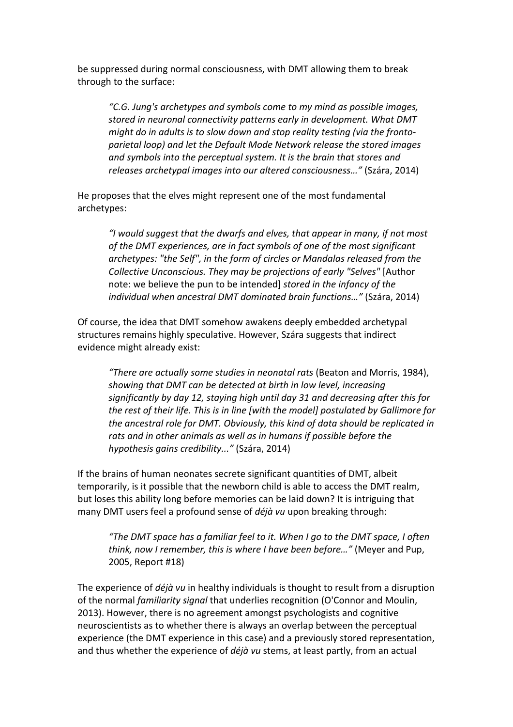be suppressed during normal consciousness, with DMT allowing them to break through to the surface:

*"C.G. Jung's archetypes and symbols come to my mind as possible images,*  stored in neuronal connectivity patterns early in development. What DMT *might do in adults is to slow down and stop reality testing (via the fronto*parietal loop) and let the Default Mode Network release the stored images and symbols into the perceptual system. It is the brain that stores and *releases archetypal images into our altered consciousness..."* (Szára, 2014)

He proposes that the elves might represent one of the most fundamental archetypes:

"I would suggest that the dwarfs and elves, that appear in many, if not most of the DMT experiences, are in fact symbols of one of the most significant archetypes: "the Self", in the form of circles or Mandalas released from the *Collective Unconscious. They may be projections of early "Selves"* [Author note: we believe the pun to be intended] *stored in the infancy of the individual* when ancestral DMT dominated brain functions..." (Szára, 2014)

Of course, the idea that DMT somehow awakens deeply embedded archetypal structures remains highly speculative. However, Szára suggests that indirect evidence might already exist:

*"There are actually some studies in neonatal rats* (Beaton and Morris, 1984), showing that DMT can be detected at birth in low level, increasing significantly by day 12, staying high until day 31 and decreasing after this for *the rest of their life. This is in line [with the model] postulated by Gallimore for the ancestral role for DMT. Obviously, this kind of data should be replicated in* rats and in other animals as well as in humans if possible before the *hypothesis gains credibility..."* (Szára, 2014)

If the brains of human neonates secrete significant quantities of DMT, albeit temporarily, is it possible that the newborn child is able to access the DMT realm. but loses this ability long before memories can be laid down? It is intriguing that many DMT users feel a profound sense of *déjà vu* upon breaking through:

*"The DMT space has a familiar feel to it. When I go to the DMT space, I often think, now I remember, this is where I have been before..."* (Meyer and Pup, 2005, Report #18)

The experience of *déjà vu* in healthy individuals is thought to result from a disruption of the normal *familiarity signal* that underlies recognition (O'Connor and Moulin, 2013). However, there is no agreement amongst psychologists and cognitive neuroscientists as to whether there is always an overlap between the perceptual experience (the DMT experience in this case) and a previously stored representation, and thus whether the experience of *déjà vu* stems, at least partly, from an actual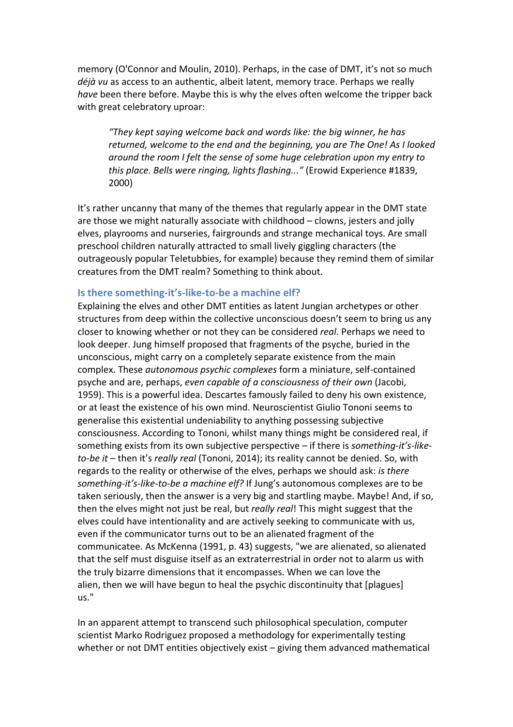memory (O'Connor and Moulin, 2010). Perhaps, in the case of DMT, it's not so much *déjà vu* as access to an authentic, albeit latent, memory trace. Perhaps we really *have* been there before. Maybe this is why the elves often welcome the tripper back with great celebratory uproar:

"They kept saying welcome back and words like: the big winner, he has *returned, welcome to the end and the beginning, you are The One! As I looked* around the room I felt the sense of some huge celebration upon my entry to *this place. Bells were ringing, lights flashing..."* (Erowid Experience #1839, 2000)

It's rather uncanny that many of the themes that regularly appear in the DMT state are those we might naturally associate with childhood  $-$  clowns, jesters and jolly elves, playrooms and nurseries, fairgrounds and strange mechanical toys. Are small preschool children naturally attracted to small lively giggling characters (the outrageously popular Teletubbies, for example) because they remind them of similar creatures from the DMT realm? Something to think about.

#### **Is there something-it's-like-to-be a machine elf?**

Explaining the elves and other DMT entities as latent Jungian archetypes or other structures from deep within the collective unconscious doesn't seem to bring us any closer to knowing whether or not they can be considered *real*. Perhaps we need to look deeper. Jung himself proposed that fragments of the psyche, buried in the unconscious, might carry on a completely separate existence from the main complex. These *autonomous psychic complexes* form a miniature, self-contained psyche and are, perhaps, *even capable of a consciousness of their own* (Jacobi, 1959). This is a powerful idea. Descartes famously failed to deny his own existence. or at least the existence of his own mind. Neuroscientist Giulio Tononi seems to generalise this existential undeniability to anything possessing subjective consciousness. According to Tononi, whilst many things might be considered real, if something exists from its own subjective perspective - if there is *something-it's-liketo-be it* – then it's *really real* (Tononi, 2014); its reality cannot be denied. So, with regards to the reality or otherwise of the elves, perhaps we should ask: *is there* something-it's-like-to-be a machine elf? If Jung's autonomous complexes are to be taken seriously, then the answer is a very big and startling maybe. Maybe! And, if so, then the elves might not just be real, but *really real*! This might suggest that the elves could have intentionality and are actively seeking to communicate with us, even if the communicator turns out to be an alienated fragment of the communicatee. As McKenna (1991, p. 43) suggests, "we are alienated, so alienated that the self must disguise itself as an extraterrestrial in order not to alarm us with the truly bizarre dimensions that it encompasses. When we can love the alien, then we will have begun to heal the psychic discontinuity that [plagues] us."

In an apparent attempt to transcend such philosophical speculation, computer scientist Marko Rodriguez proposed a methodology for experimentally testing whether or not DMT entities objectively exist  $-$  giving them advanced mathematical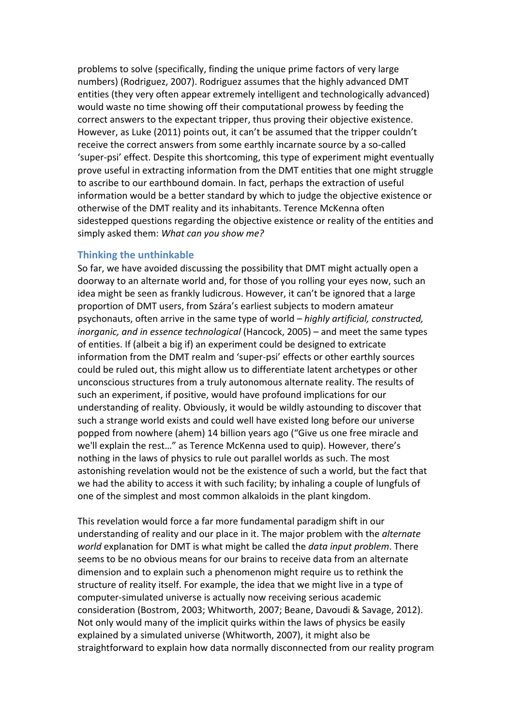problems to solve (specifically, finding the unique prime factors of very large numbers) (Rodriguez, 2007). Rodriguez assumes that the highly advanced DMT entities (they very often appear extremely intelligent and technologically advanced) would waste no time showing off their computational prowess by feeding the correct answers to the expectant tripper, thus proving their objective existence. However, as Luke (2011) points out, it can't be assumed that the tripper couldn't receive the correct answers from some earthly incarnate source by a so-called 'super-psi' effect. Despite this shortcoming, this type of experiment might eventually prove useful in extracting information from the DMT entities that one might struggle to ascribe to our earthbound domain. In fact, perhaps the extraction of useful information would be a better standard by which to judge the objective existence or otherwise of the DMT reality and its inhabitants. Terence McKenna often sidestepped questions regarding the objective existence or reality of the entities and simply asked them: What can you show me?

## **Thinking the unthinkable**

So far, we have avoided discussing the possibility that DMT might actually open a doorway to an alternate world and, for those of you rolling your eyes now, such an idea might be seen as frankly ludicrous. However, it can't be ignored that a large proportion of DMT users, from Szára's earliest subjects to modern amateur psychonauts, often arrive in the same type of world – *highly artificial, constructed, inorganic, and in essence technological* (Hancock, 2005) – and meet the same types of entities. If (albeit a big if) an experiment could be designed to extricate information from the DMT realm and 'super-psi' effects or other earthly sources could be ruled out, this might allow us to differentiate latent archetypes or other unconscious structures from a truly autonomous alternate reality. The results of such an experiment, if positive, would have profound implications for our understanding of reality. Obviously, it would be wildly astounding to discover that such a strange world exists and could well have existed long before our universe popped from nowhere (ahem) 14 billion years ago ("Give us one free miracle and we'll explain the rest..." as Terence McKenna used to quip). However, there's nothing in the laws of physics to rule out parallel worlds as such. The most astonishing revelation would not be the existence of such a world, but the fact that we had the ability to access it with such facility; by inhaling a couple of lungfuls of one of the simplest and most common alkaloids in the plant kingdom.

This revelation would force a far more fundamental paradigm shift in our understanding of reality and our place in it. The major problem with the *alternate world* explanation for DMT is what might be called the *data input problem*. There seems to be no obvious means for our brains to receive data from an alternate dimension and to explain such a phenomenon might require us to rethink the structure of reality itself. For example, the idea that we might live in a type of computer-simulated universe is actually now receiving serious academic consideration (Bostrom, 2003; Whitworth, 2007; Beane, Davoudi & Savage, 2012). Not only would many of the implicit quirks within the laws of physics be easily explained by a simulated universe (Whitworth, 2007), it might also be straightforward to explain how data normally disconnected from our reality program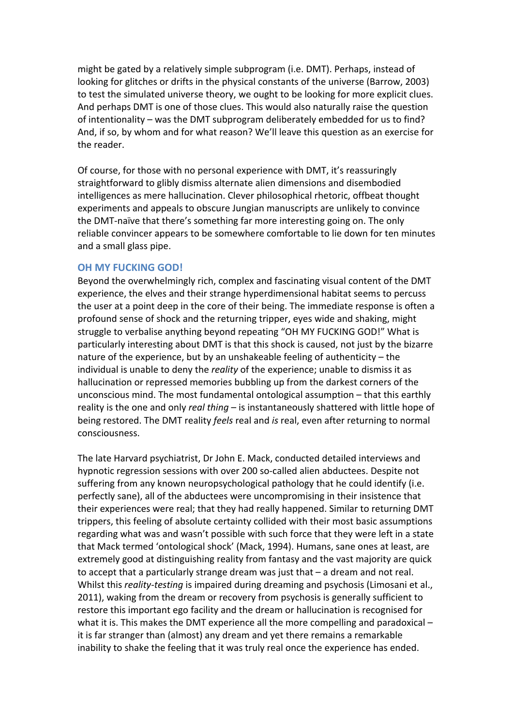might be gated by a relatively simple subprogram (i.e. DMT). Perhaps, instead of looking for glitches or drifts in the physical constants of the universe (Barrow, 2003) to test the simulated universe theory, we ought to be looking for more explicit clues. And perhaps DMT is one of those clues. This would also naturally raise the question of intentionality – was the DMT subprogram deliberately embedded for us to find? And, if so, by whom and for what reason? We'll leave this question as an exercise for the reader.

Of course, for those with no personal experience with DMT, it's reassuringly straightforward to glibly dismiss alternate alien dimensions and disembodied intelligences as mere hallucination. Clever philosophical rhetoric, offbeat thought experiments and appeals to obscure Jungian manuscripts are unlikely to convince the DMT-naïve that there's something far more interesting going on. The only reliable convincer appears to be somewhere comfortable to lie down for ten minutes and a small glass pipe.

## **OH MY FUCKING GOD!**

Beyond the overwhelmingly rich, complex and fascinating visual content of the DMT experience, the elves and their strange hyperdimensional habitat seems to percuss the user at a point deep in the core of their being. The immediate response is often a profound sense of shock and the returning tripper, eyes wide and shaking, might struggle to verbalise anything beyond repeating "OH MY FUCKING GOD!" What is particularly interesting about DMT is that this shock is caused, not just by the bizarre nature of the experience, but by an unshakeable feeling of authenticity  $-$  the individual is unable to deny the *reality* of the experience; unable to dismiss it as hallucination or repressed memories bubbling up from the darkest corners of the unconscious mind. The most fundamental ontological assumption  $-$  that this earthly reality is the one and only *real thing* – is instantaneously shattered with little hope of being restored. The DMT reality *feels* real and *is* real, even after returning to normal consciousness. 

The late Harvard psychiatrist, Dr John E. Mack, conducted detailed interviews and hypnotic regression sessions with over 200 so-called alien abductees. Despite not suffering from any known neuropsychological pathology that he could identify (i.e. perfectly sane), all of the abductees were uncompromising in their insistence that their experiences were real; that they had really happened. Similar to returning DMT trippers, this feeling of absolute certainty collided with their most basic assumptions regarding what was and wasn't possible with such force that they were left in a state that Mack termed 'ontological shock' (Mack, 1994). Humans, sane ones at least, are extremely good at distinguishing reality from fantasy and the vast majority are quick to accept that a particularly strange dream was just that  $-$  a dream and not real. Whilst this *reality-testing* is impaired during dreaming and psychosis (Limosani et al., 2011), waking from the dream or recovery from psychosis is generally sufficient to restore this important ego facility and the dream or hallucination is recognised for what it is. This makes the DMT experience all the more compelling and paradoxical  $$ it is far stranger than (almost) any dream and yet there remains a remarkable inability to shake the feeling that it was truly real once the experience has ended.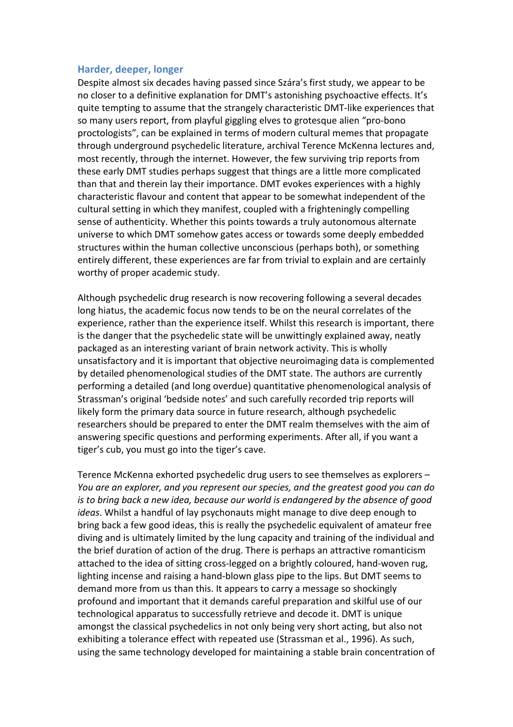### **Harder, deeper, longer**

Despite almost six decades having passed since Szára's first study, we appear to be no closer to a definitive explanation for DMT's astonishing psychoactive effects. It's quite tempting to assume that the strangely characteristic DMT-like experiences that so many users report, from playful giggling elves to grotesque alien "pro-bono" proctologists", can be explained in terms of modern cultural memes that propagate through underground psychedelic literature, archival Terence McKenna lectures and, most recently, through the internet. However, the few surviving trip reports from these early DMT studies perhaps suggest that things are a little more complicated than that and therein lay their importance. DMT evokes experiences with a highly characteristic flavour and content that appear to be somewhat independent of the cultural setting in which they manifest, coupled with a frighteningly compelling sense of authenticity. Whether this points towards a truly autonomous alternate universe to which DMT somehow gates access or towards some deeply embedded structures within the human collective unconscious (perhaps both), or something entirely different, these experiences are far from trivial to explain and are certainly worthy of proper academic study.

Although psychedelic drug research is now recovering following a several decades long hiatus, the academic focus now tends to be on the neural correlates of the experience, rather than the experience itself. Whilst this research is important, there is the danger that the psychedelic state will be unwittingly explained away, neatly packaged as an interesting variant of brain network activity. This is wholly unsatisfactory and it is important that objective neuroimaging data is complemented by detailed phenomenological studies of the DMT state. The authors are currently performing a detailed (and long overdue) quantitative phenomenological analysis of Strassman's original 'bedside notes' and such carefully recorded trip reports will likely form the primary data source in future research, although psychedelic researchers should be prepared to enter the DMT realm themselves with the aim of answering specific questions and performing experiments. After all, if you want a tiger's cub, you must go into the tiger's cave.

Terence McKenna exhorted psychedelic drug users to see themselves as explorers – *You* are an explorer, and you represent our species, and the greatest good you can do *is* to bring back a new idea, because our world is endangered by the absence of good *ideas*. Whilst a handful of lay psychonauts might manage to dive deep enough to bring back a few good ideas, this is really the psychedelic equivalent of amateur free diving and is ultimately limited by the lung capacity and training of the individual and the brief duration of action of the drug. There is perhaps an attractive romanticism attached to the idea of sitting cross-legged on a brightly coloured, hand-woven rug, lighting incense and raising a hand-blown glass pipe to the lips. But DMT seems to demand more from us than this. It appears to carry a message so shockingly profound and important that it demands careful preparation and skilful use of our technological apparatus to successfully retrieve and decode it. DMT is unique amongst the classical psychedelics in not only being very short acting, but also not exhibiting a tolerance effect with repeated use (Strassman et al., 1996). As such, using the same technology developed for maintaining a stable brain concentration of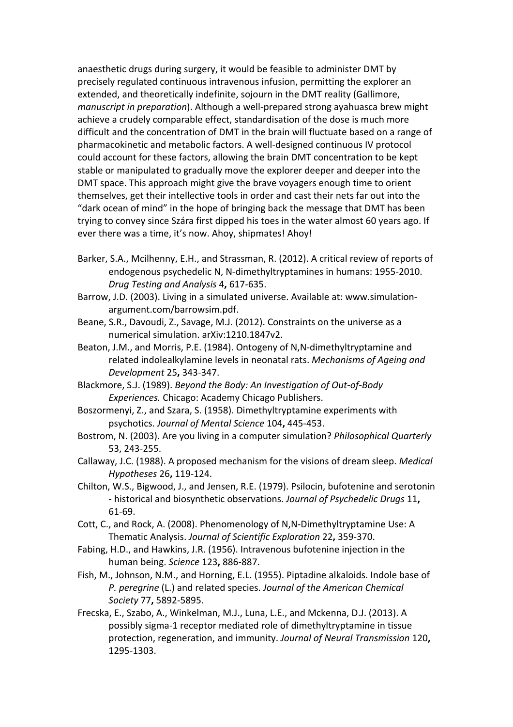anaesthetic drugs during surgery, it would be feasible to administer DMT by precisely regulated continuous intravenous infusion, permitting the explorer an extended, and theoretically indefinite, sojourn in the DMT reality (Gallimore, *manuscript in preparation*). Although a well-prepared strong ayahuasca brew might achieve a crudely comparable effect, standardisation of the dose is much more difficult and the concentration of DMT in the brain will fluctuate based on a range of pharmacokinetic and metabolic factors. A well-designed continuous IV protocol could account for these factors, allowing the brain DMT concentration to be kept stable or manipulated to gradually move the explorer deeper and deeper into the DMT space. This approach might give the brave voyagers enough time to orient themselves, get their intellective tools in order and cast their nets far out into the "dark ocean of mind" in the hope of bringing back the message that DMT has been trying to convey since Szára first dipped his toes in the water almost 60 years ago. If ever there was a time, it's now. Ahoy, shipmates! Ahoy!

- Barker, S.A., Mcilhenny, E.H., and Strassman, R. (2012). A critical review of reports of endogenous psychedelic N, N-dimethyltryptamines in humans: 1955-2010. *Drug Testing and Analysis* 4**,** 617-635.
- Barrow, J.D. (2003). Living in a simulated universe. Available at: www.simulationargument.com/barrowsim.pdf.
- Beane, S.R., Davoudi, Z., Savage, M.J. (2012). Constraints on the universe as a numerical simulation. arXiv:1210.1847v2.
- Beaton, J.M., and Morris, P.E. (1984). Ontogeny of N,N-dimethyltryptamine and related indolealkylamine levels in neonatal rats. Mechanisms of Ageing and *Development* 25**,** 343-347.
- Blackmore, S.J. (1989). *Beyond the Body: An Investigation of Out-of-Body Experiences.* Chicago: Academy Chicago Publishers.
- Boszormenyi, Z., and Szara, S. (1958). Dimethyltryptamine experiments with psychotics. *Journal of Mental Science* 104**,** 445-453.
- Bostrom, N. (2003). Are you living in a computer simulation? *Philosophical Quarterly* 53, 243-255.
- Callaway, J.C. (1988). A proposed mechanism for the visions of dream sleep. *Medical Hypotheses* 26**,** 119-124.
- Chilton, W.S., Bigwood, J., and Jensen, R.E. (1979). Psilocin, bufotenine and serotonin - historical and biosynthetic observations. *Journal of Psychedelic Drugs* 11**,** 61-69.
- Cott, C., and Rock, A. (2008). Phenomenology of N,N-Dimethyltryptamine Use: A Thematic Analysis. *Journal of Scientific Exploration* 22**,** 359-370.
- Fabing, H.D., and Hawkins, J.R. (1956). Intravenous bufotenine injection in the human being. *Science* 123**,** 886-887.
- Fish, M., Johnson, N.M., and Horning, E.L. (1955). Piptadine alkaloids. Indole base of *P. peregrine* (L.) and related species. *Journal of the American Chemical Society* 77**,** 5892-5895.
- Frecska, E., Szabo, A., Winkelman, M.J., Luna, L.E., and Mckenna, D.J. (2013). A possibly sigma-1 receptor mediated role of dimethyltryptamine in tissue protection, regeneration, and immunity. Journal of Neural Transmission 120, 1295-1303.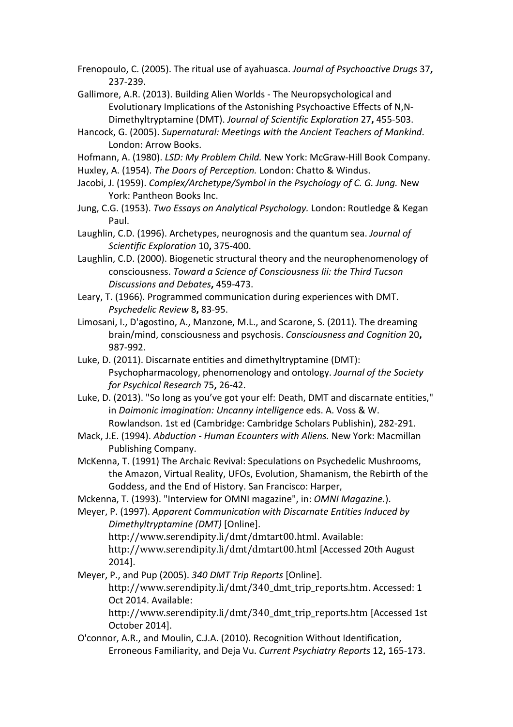Frenopoulo, C. (2005). The ritual use of ayahuasca. *Journal of Psychoactive Drugs* 37, 237-239.

- Gallimore, A.R. (2013). Building Alien Worlds The Neuropsychological and Evolutionary Implications of the Astonishing Psychoactive Effects of N,N-Dimethyltryptamine (DMT). *Journal of Scientific Exploration* 27**,** 455-503.
- Hancock, G. (2005). Supernatural: Meetings with the Ancient Teachers of Mankind. London: Arrow Books.
- Hofmann, A. (1980). *LSD: My Problem Child.* New York: McGraw-Hill Book Company. Huxley, A. (1954). The Doors of Perception. London: Chatto & Windus.
- Jacobi, J. (1959). *Complex/Archetype/Symbol in the Psychology of C. G. Jung.* New York: Pantheon Books Inc.
- Jung, C.G. (1953). *Two Essays on Analytical Psychology*. London: Routledge & Kegan Paul.
- Laughlin, C.D. (1996). Archetypes, neurognosis and the quantum sea. *Journal of Scientific Exploration* 10**,** 375-400.
- Laughlin, C.D. (2000). Biogenetic structural theory and the neurophenomenology of consciousness. *Toward a Science of Consciousness Iii: the Third Tucson Discussions and Debates***,** 459-473.
- Leary, T. (1966). Programmed communication during experiences with DMT. *Psychedelic Review* 8**,** 83-95.
- Limosani, I., D'agostino, A., Manzone, M.L., and Scarone, S. (2011). The dreaming brain/mind, consciousness and psychosis. *Consciousness and Cognition* 20, 987-992.
- Luke, D. (2011). Discarnate entities and dimethyltryptamine (DMT): Psychopharmacology, phenomenology and ontology. *Journal of the Society for Psychical Research* 75**,** 26-42.
- Luke, D. (2013). "So long as you've got your elf: Death, DMT and discarnate entities," in *Daimonic imagination: Uncanny intelligence* eds. A. Voss & W. Rowlandson. 1st ed (Cambridge: Cambridge Scholars Publishin), 282-291.
- Mack, J.E. (1994). *Abduction Human Ecounters with Aliens.* New York: Macmillan Publishing Company.
- McKenna, T. (1991) The Archaic Revival: Speculations on Psychedelic Mushrooms, the Amazon, Virtual Reality, UFOs, Evolution, Shamanism, the Rebirth of the Goddess, and the End of History. San Francisco: Harper,
- Mckenna, T. (1993). "Interview for OMNI magazine", in: *OMNI Magazine.*).

Meyer, P. (1997). Apparent Communication with Discarnate Entities Induced by *Dimethyltryptamine* (DMT) [Online]. http://www.serendipity.li/dmt/dmtart00.html. Available: http://www.serendipity.li/dmt/dmtart00.html [Accessed 20th August] 2014].

Meyer, P., and Pup (2005). 340 DMT Trip Reports [Online]. http://www.serendipity.li/dmt/340\_dmt\_trip\_reports.htm. Accessed: 1 Oct 2014. Available: http://www.serendipity.li/dmt/340\_dmt\_trip\_reports.htm [Accessed 1st] October 2014].

O'connor, A.R., and Moulin, C.J.A. (2010). Recognition Without Identification, Erroneous Familiarity, and Deja Vu. *Current Psychiatry Reports* 12**,** 165-173.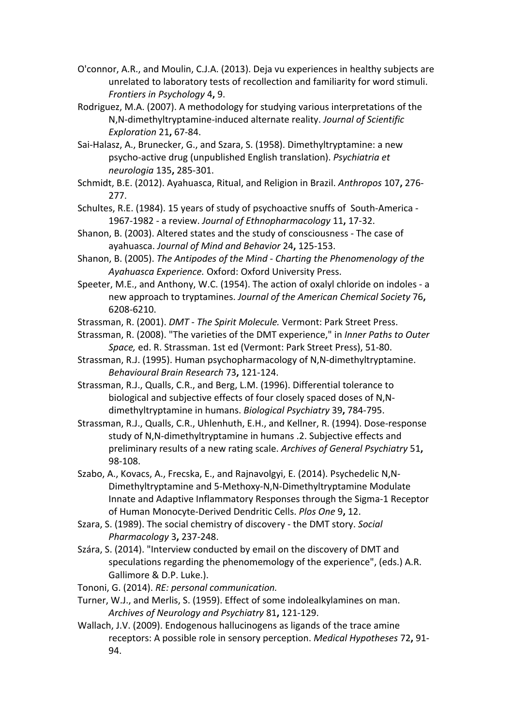- O'connor, A.R., and Moulin, C.J.A. (2013). Deja vu experiences in healthy subjects are unrelated to laboratory tests of recollection and familiarity for word stimuli. *Frontiers in Psychology* 4**,** 9.
- Rodriguez, M.A. (2007). A methodology for studying various interpretations of the N,N-dimethyltryptamine-induced alternate reality. *Journal of Scientific Exploration* 21**,** 67-84.
- Sai-Halasz, A., Brunecker, G., and Szara, S. (1958). Dimethyltryptamine: a new psycho-active drug (unpublished English translation). *Psychiatria et neurologia* 135**,** 285-301.
- Schmidt, B.E. (2012). Ayahuasca, Ritual, and Religion in Brazil. Anthropos 107, 276-277.
- Schultes, R.E. (1984). 15 years of study of psychoactive snuffs of South-America -1967-1982 - a review. Journal of Ethnopharmacology 11, 17-32.
- Shanon, B. (2003). Altered states and the study of consciousness The case of ayahuasca. *Journal of Mind and Behavior* 24**,** 125-153.
- Shanon, B. (2005). *The Antipodes of the Mind Charting the Phenomenology of the* Ayahuasca Experience. Oxford: Oxford University Press.
- Speeter, M.E., and Anthony, W.C. (1954). The action of oxalyl chloride on indoles a new approach to tryptamines. *Journal of the American Chemical Society* 76**,** 6208-6210.
- Strassman, R. (2001). *DMT The Spirit Molecule*. Vermont: Park Street Press.
- Strassman, R. (2008). "The varieties of the DMT experience," in *Inner Paths to Outer* Space, ed. R. Strassman. 1st ed (Vermont: Park Street Press), 51-80.
- Strassman, R.J. (1995). Human psychopharmacology of N,N-dimethyltryptamine. *Behavioural Brain Research* 73**,** 121-124.
- Strassman, R.J., Qualls, C.R., and Berg, L.M. (1996). Differential tolerance to biological and subjective effects of four closely spaced doses of N,Ndimethyltryptamine in humans. *Biological Psychiatry* 39, 784-795.
- Strassman, R.J., Qualls, C.R., Uhlenhuth, E.H., and Kellner, R. (1994). Dose-response study of N,N-dimethyltryptamine in humans .2. Subjective effects and preliminary results of a new rating scale. Archives of General Psychiatry 51, 98-108.
- Szabo, A., Kovacs, A., Frecska, E., and Rajnavolgyi, E. (2014). Psychedelic N,N-Dimethyltryptamine and 5-Methoxy-N,N-Dimethyltryptamine Modulate Innate and Adaptive Inflammatory Responses through the Sigma-1 Receptor of Human Monocyte-Derived Dendritic Cells. *Plos One* 9, 12.
- Szara, S. (1989). The social chemistry of discovery the DMT story. *Social Pharmacology* 3**,** 237-248.
- Szára, S. (2014). "Interview conducted by email on the discovery of DMT and speculations regarding the phenomemology of the experience", (eds.) A.R. Gallimore & D.P. Luke.).
- Tononi, G. (2014). *RE: personal communication.*
- Turner, W.J., and Merlis, S. (1959). Effect of some indolealkylamines on man. *Archives of Neurology and Psychiatry* 81**,** 121-129.
- Wallach, J.V. (2009). Endogenous hallucinogens as ligands of the trace amine receptors: A possible role in sensory perception. *Medical Hypotheses* 72, 91-94.